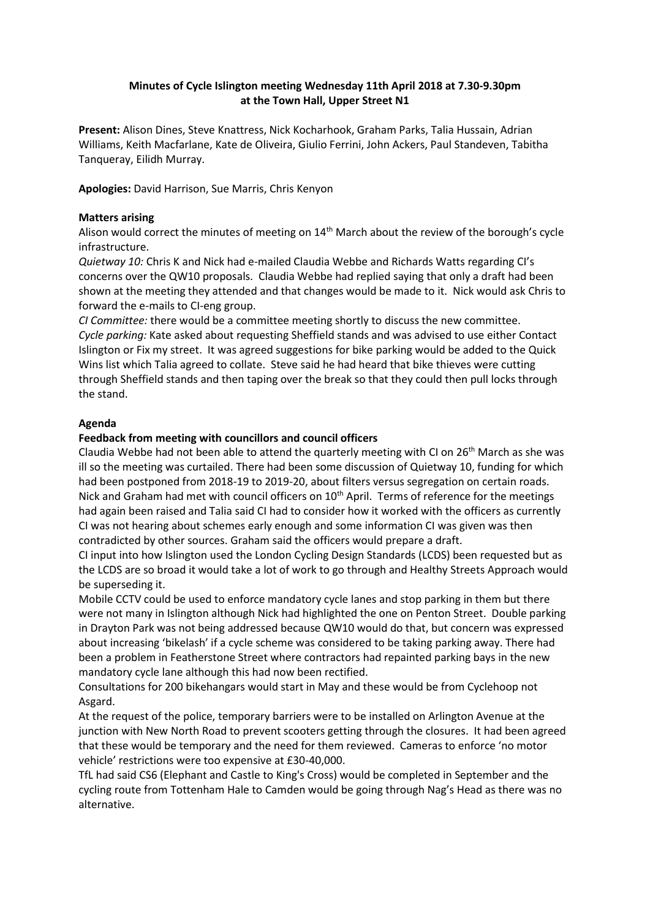# **Minutes of Cycle Islington meeting Wednesday 11th April 2018 at 7.30-9.30pm at the Town Hall, Upper Street N1**

**Present:** Alison Dines, Steve Knattress, Nick Kocharhook, Graham Parks, Talia Hussain, Adrian Williams, Keith Macfarlane, Kate de Oliveira, Giulio Ferrini, John Ackers, Paul Standeven, Tabitha Tanqueray, Eilidh Murray.

**Apologies:** David Harrison, Sue Marris, Chris Kenyon

## **Matters arising**

Alison would correct the minutes of meeting on 14<sup>th</sup> March about the review of the borough's cycle infrastructure.

*Quietway 10:* Chris K and Nick had e-mailed Claudia Webbe and Richards Watts regarding CI's concerns over the QW10 proposals. Claudia Webbe had replied saying that only a draft had been shown at the meeting they attended and that changes would be made to it. Nick would ask Chris to forward the e-mails to CI-eng group.

*CI Committee:* there would be a committee meeting shortly to discuss the new committee. *Cycle parking:* Kate asked about requesting Sheffield stands and was advised to use either Contact Islington or Fix my street. It was agreed suggestions for bike parking would be added to the Quick Wins list which Talia agreed to collate. Steve said he had heard that bike thieves were cutting through Sheffield stands and then taping over the break so that they could then pull locks through the stand.

## **Agenda**

## **Feedback from meeting with councillors and council officers**

Claudia Webbe had not been able to attend the quarterly meeting with CI on  $26<sup>th</sup>$  March as she was ill so the meeting was curtailed. There had been some discussion of Quietway 10, funding for which had been postponed from 2018-19 to 2019-20, about filters versus segregation on certain roads. Nick and Graham had met with council officers on  $10<sup>th</sup>$  April. Terms of reference for the meetings had again been raised and Talia said CI had to consider how it worked with the officers as currently CI was not hearing about schemes early enough and some information CI was given was then contradicted by other sources. Graham said the officers would prepare a draft.

CI input into how Islington used the London Cycling Design Standards (LCDS) been requested but as the LCDS are so broad it would take a lot of work to go through and Healthy Streets Approach would be superseding it.

Mobile CCTV could be used to enforce mandatory cycle lanes and stop parking in them but there were not many in Islington although Nick had highlighted the one on Penton Street. Double parking in Drayton Park was not being addressed because QW10 would do that, but concern was expressed about increasing 'bikelash' if a cycle scheme was considered to be taking parking away. There had been a problem in Featherstone Street where contractors had repainted parking bays in the new mandatory cycle lane although this had now been rectified.

Consultations for 200 bikehangars would start in May and these would be from Cyclehoop not Asgard.

At the request of the police, temporary barriers were to be installed on Arlington Avenue at the junction with New North Road to prevent scooters getting through the closures. It had been agreed that these would be temporary and the need for them reviewed. Cameras to enforce 'no motor vehicle' restrictions were too expensive at £30-40,000.

TfL had said CS6 (Elephant and Castle to King's Cross) would be completed in September and the cycling route from Tottenham Hale to Camden would be going through Nag's Head as there was no alternative.